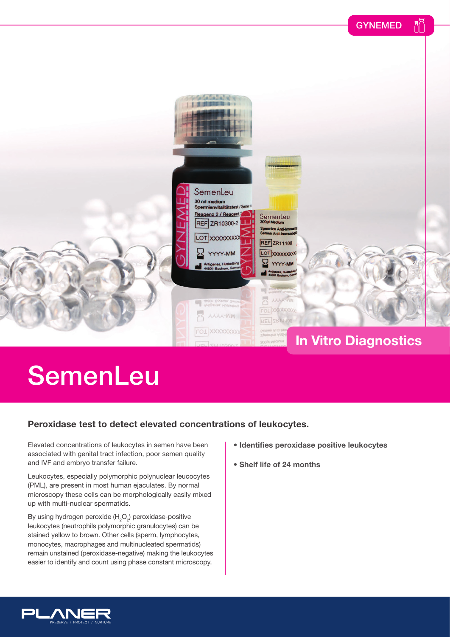

## **SemenLeu**

## **Peroxidase test to detect elevated concentrations of leukocytes.**

Elevated concentrations of leukocytes in semen have been associated with genital tract infection, poor semen quality and IVF and embryo transfer failure.

Leukocytes, especially polymorphic polynuclear leucocytes (PML), are present in most human ejaculates. By normal microscopy these cells can be morphologically easily mixed up with multi-nuclear spermatids.

By using hydrogen peroxide (H<sub>2</sub>O<sub>2</sub>) peroxidase-positive leukocytes (neutrophils polymorphic granulocytes) can be stained yellow to brown. Other cells (sperm, lymphocytes, monocytes, macrophages and multinucleated spermatids) remain unstained (peroxidase-negative) making the leukocytes easier to identify and count using phase constant microscopy.

- **Identifies peroxidase positive leukocytes**
- **Shelf life of 24 months**